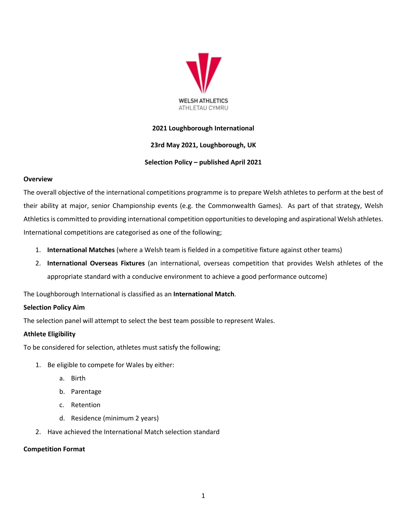

# **2021 Loughborough International**

## **23rd May 2021, Loughborough, UK**

## **Selection Policy – published April 2021**

## **Overview**

The overall objective of the international competitions programme is to prepare Welsh athletes to perform at the best of their ability at major, senior Championship events (e.g. the Commonwealth Games). As part of that strategy, Welsh Athletics is committed to providing international competition opportunities to developing and aspirational Welsh athletes. International competitions are categorised as one of the following;

- 1. **International Matches** (where a Welsh team is fielded in a competitive fixture against other teams)
- 2. **International Overseas Fixtures** (an international, overseas competition that provides Welsh athletes of the appropriate standard with a conducive environment to achieve a good performance outcome)

The Loughborough International is classified as an **International Match**.

## **Selection Policy Aim**

The selection panel will attempt to select the best team possible to represent Wales.

## **Athlete Eligibility**

To be considered for selection, athletes must satisfy the following;

- 1. Be eligible to compete for Wales by either:
	- a. Birth
	- b. Parentage
	- c. Retention
	- d. Residence (minimum 2 years)
- 2. Have achieved the International Match selection standard

## **Competition Format**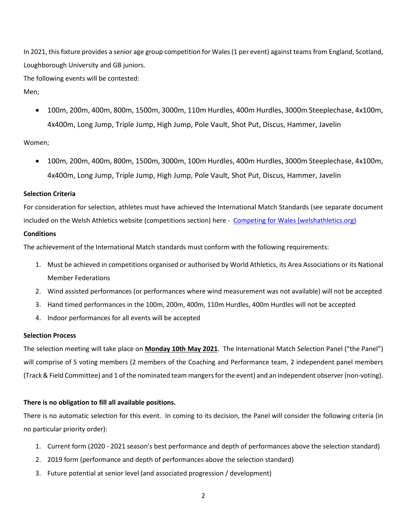In 2021, this fixture provides a senior age group competition for Wales (1 per event) against teams from England, Scotland, Loughborough University and GB juniors.

The following events will be contested:

## Men;

• 100m, 200m, 400m, 800m, 1500m, 3000m, 110m Hurdles, 400m Hurdles, 3000m Steeplechase, 4x100m, 4x400m, Long Jump, Triple Jump, High Jump, Pole Vault, Shot Put, Discus, Hammer, Javelin

# Women;

• 100m, 200m, 400m, 800m, 1500m, 3000m, 100m Hurdles, 400m Hurdles, 3000m Steeplechase, 4x100m, 4x400m, Long Jump, Triple Jump, High Jump, Pole Vault, Shot Put, Discus, Hammer, Javelin

## **Selection Criteria**

For consideration for selection, athletes must have achieved the International Match Standards (see separate document included on the Welsh Athletics website (competitions section) here - [Competing for Wales \(welshathletics.org\)](https://www.welshathletics.org/en/page/competing-for-wales)

# **Conditions**

The achievement of the International Match standards must conform with the following requirements:

- 1. Must be achieved in competitions organised or authorised by World Athletics, its Area Associations or its National Member Federations
- 2. Wind assisted performances (or performances where wind measurement was not available) will not be accepted
- 3. Hand timed performances in the 100m, 200m, 400m, 110m Hurdles, 400m Hurdles will not be accepted
- 4. Indoor performances for all events will be accepted

## **Selection Process**

The selection meeting will take place on **Monday 10th May 2021**. The International Match Selection Panel ("the Panel") will comprise of 5 voting members (2 members of the Coaching and Performance team, 2 independent panel members (Track & Field Committee) and 1 of the nominated team mangers for the event) and an independent observer(non-voting).

# **There is no obligation to fill all available positions.**

There is no automatic selection for this event. In coming to its decision, the Panel will consider the following criteria (in no particular priority order):

- 1. Current form (2020 2021 season's best performance and depth of performances above the selection standard)
- 2. 2019 form (performance and depth of performances above the selection standard)
- 3. Future potential at senior level (and associated progression / development)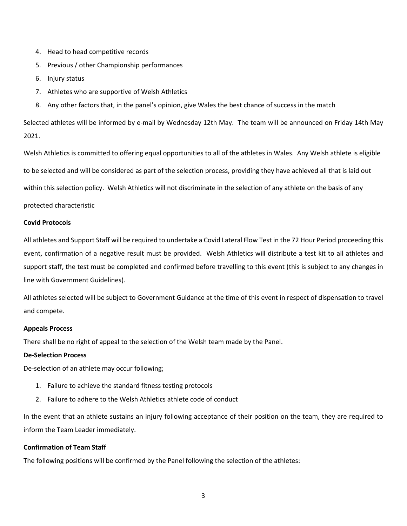- 4. Head to head competitive records
- 5. Previous / other Championship performances
- 6. Injury status
- 7. Athletes who are supportive of Welsh Athletics
- 8. Any other factors that, in the panel's opinion, give Wales the best chance of success in the match

Selected athletes will be informed by e-mail by Wednesday 12th May. The team will be announced on Friday 14th May 2021.

Welsh Athletics is committed to offering equal opportunities to all of the athletes in Wales. Any Welsh athlete is eligible to be selected and will be considered as part of the selection process, providing they have achieved all that is laid out within this selection policy. Welsh Athletics will not discriminate in the selection of any athlete on the basis of any protected characteristic

#### **Covid Protocols**

All athletes and Support Staff will be required to undertake a Covid Lateral Flow Test in the 72 Hour Period proceeding this event, confirmation of a negative result must be provided. Welsh Athletics will distribute a test kit to all athletes and support staff, the test must be completed and confirmed before travelling to this event (this is subject to any changes in line with Government Guidelines).

All athletes selected will be subject to Government Guidance at the time of this event in respect of dispensation to travel and compete.

#### **Appeals Process**

There shall be no right of appeal to the selection of the Welsh team made by the Panel.

## **De-Selection Process**

De-selection of an athlete may occur following;

- 1. Failure to achieve the standard fitness testing protocols
- 2. Failure to adhere to the Welsh Athletics athlete code of conduct

In the event that an athlete sustains an injury following acceptance of their position on the team, they are required to inform the Team Leader immediately.

#### **Confirmation of Team Staff**

The following positions will be confirmed by the Panel following the selection of the athletes: